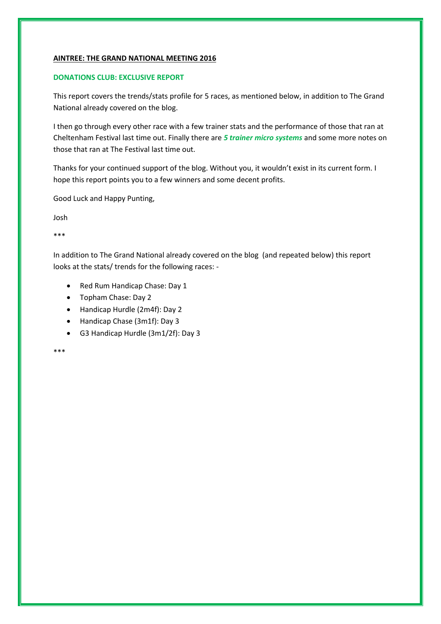#### **AINTREE: THE GRAND NATIONAL MEETING 2016**

#### **DONATIONS CLUB: EXCLUSIVE REPORT**

This report covers the trends/stats profile for 5 races, as mentioned below, in addition to The Grand National already covered on the blog.

I then go through every other race with a few trainer stats and the performance of those that ran at Cheltenham Festival last time out. Finally there are *5 trainer micro systems* and some more notes on those that ran at The Festival last time out.

Thanks for your continued support of the blog. Without you, it wouldn't exist in its current form. I hope this report points you to a few winners and some decent profits.

Good Luck and Happy Punting,

Josh

\*\*\*

In addition to The Grand National already covered on the blog (and repeated below) this report looks at the stats/ trends for the following races: -

- Red Rum Handicap Chase: Day 1
- Topham Chase: Day 2
- Handicap Hurdle (2m4f): Day 2
- Handicap Chase (3m1f): Day 3
- G3 Handicap Hurdle (3m1/2f): Day 3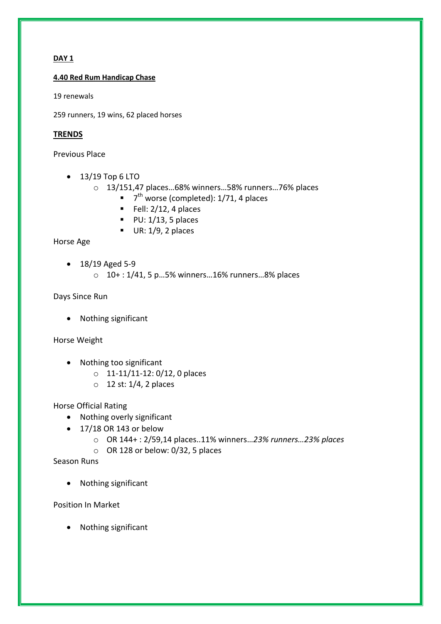# **DAY 1**

**4.40 Red Rum Handicap Chase**

19 renewals

259 runners, 19 wins, 62 placed horses

# **TRENDS**

Previous Place

- $\bullet$  13/19 Top 6 LTO
	- o 13/151,47 places…68% winners…58% runners…76% places
		- $\blacksquare$  7<sup>th</sup> worse (completed): 1/71, 4 places
		- Fell:  $2/12$ , 4 places
		- $PU: 1/13, 5$  places
		- $\blacksquare$  UR: 1/9, 2 places

# Horse Age

- $\bullet$  18/19 Aged 5-9
	- $0.10+1/41$ , 5 p...5% winners...16% runners...8% places

Days Since Run

• Nothing significant

Horse Weight

- Nothing too significant
	- o 11-11/11-12: 0/12, 0 places
	- $\circ$  12 st: 1/4, 2 places

Horse Official Rating

- Nothing overly significant
- $\bullet$  17/18 OR 143 or below
	- o OR 144+ : 2/59,14 places..11% winners…*23% runners…23% places*
	- o OR 128 or below: 0/32, 5 places

Season Runs

• Nothing significant

Position In Market

• Nothing significant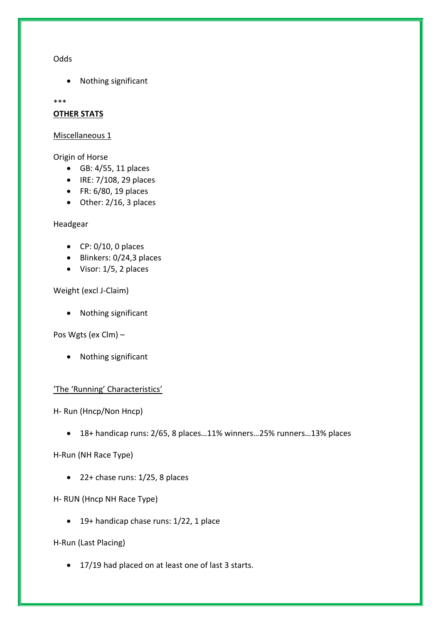## **Odds**

Nothing significant

\*\*\*

### **OTHER STATS**

#### Miscellaneous 1

Origin of Horse

- GB: 4/55, 11 places
- $\bullet$  IRE: 7/108, 29 places
- FR: 6/80, 19 places
- Other: 2/16, 3 places

Headgear

- $\bullet$  CP: 0/10, 0 places
- Blinkers: 0/24,3 places
- Visor: 1/5, 2 places

Weight (excl J-Claim)

• Nothing significant

Pos Wgts (ex Clm) –

• Nothing significant

# 'The 'Running' Characteristics'

H- Run (Hncp/Non Hncp)

18+ handicap runs: 2/65, 8 places…11% winners…25% runners…13% places

H-Run (NH Race Type)

 $\bullet$  22+ chase runs: 1/25, 8 places

H- RUN (Hncp NH Race Type)

• 19+ handicap chase runs: 1/22, 1 place

H-Run (Last Placing)

• 17/19 had placed on at least one of last 3 starts.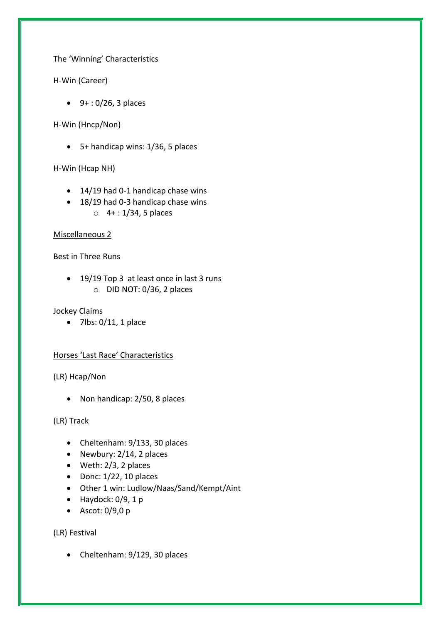# The 'Winning' Characteristics

H-Win (Career)

 $9+ : 0/26$ , 3 places

H-Win (Hncp/Non)

5+ handicap wins: 1/36, 5 places

H-Win (Hcap NH)

- 14/19 had 0-1 handicap chase wins
- 18/19 had 0-3 handicap chase wins o 4+ : 1/34, 5 places

# Miscellaneous 2

Best in Three Runs

• 19/19 Top 3 at least once in last 3 runs o DID NOT: 0/36, 2 places

Jockey Claims

 $\bullet$  7lbs: 0/11, 1 place

# Horses 'Last Race' Characteristics

(LR) Hcap/Non

• Non handicap: 2/50, 8 places

(LR) Track

- Cheltenham: 9/133, 30 places
- Newbury:  $2/14$ , 2 places
- Weth: 2/3, 2 places
- $\bullet$  Donc:  $1/22$ , 10 places
- Other 1 win: Ludlow/Naas/Sand/Kempt/Aint
- $\bullet$  Haydock: 0/9, 1 p
- $\bullet$  Ascot: 0/9,0 p

(LR) Festival

• Cheltenham: 9/129, 30 places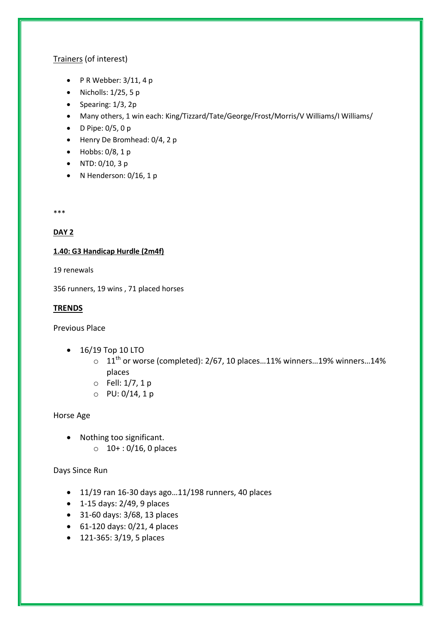# Trainers (of interest)

- $\bullet$  P R Webber: 3/11, 4 p
- $\bullet$  Nicholls: 1/25, 5 p
- $\bullet$  Spearing:  $1/3$ , 2p
- Many others, 1 win each: King/Tizzard/Tate/George/Frost/Morris/V Williams/I Williams/
- $\bullet$  D Pipe: 0/5, 0 p
- Henry De Bromhead: 0/4, 2 p
- $\bullet$  Hobbs: 0/8, 1 p
- NTD:  $0/10$ , 3 p
- N Henderson:  $0/16$ , 1 p

\*\*\*

# **DAY 2**

# **1.40: G3 Handicap Hurdle (2m4f)**

19 renewals

356 runners, 19 wins , 71 placed horses

## **TRENDS**

Previous Place

- 16/19 Top 10 LTO
	- $\circ$  11<sup>th</sup> or worse (completed): 2/67, 10 places...11% winners...19% winners...14% places
	- o Fell: 1/7, 1 p
	- o PU: 0/14, 1 p

# Horse Age

- Nothing too significant.
	- $0.10+ 0.016$ , 0 places

# Days Since Run

- $\bullet$  11/19 ran 16-30 days ago...11/198 runners, 40 places
- $\bullet$  1-15 days: 2/49, 9 places
- 31-60 days: 3/68, 13 places
- $-61-120$  days:  $0/21$ , 4 places
- 121-365: 3/19, 5 places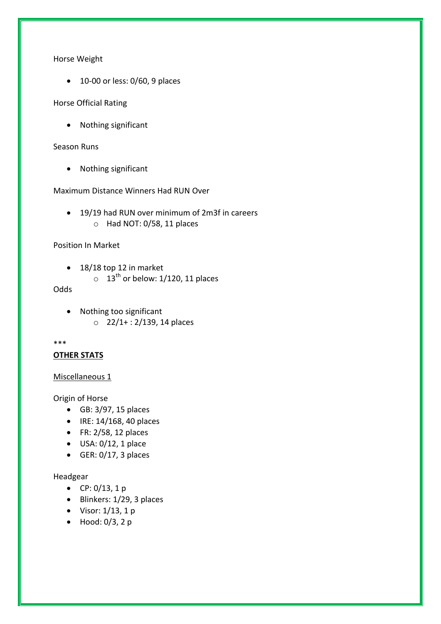Horse Weight

• 10-00 or less: 0/60, 9 places

Horse Official Rating

Nothing significant

#### Season Runs

• Nothing significant

Maximum Distance Winners Had RUN Over

 19/19 had RUN over minimum of 2m3f in careers o Had NOT: 0/58, 11 places

#### Position In Market

- $\bullet$  18/18 top 12 in market
	- $\circ$  13<sup>th</sup> or below: 1/120, 11 places

Odds

 Nothing too significant  $O$  22/1+: 2/139, 14 places

#### \*\*\*

## **OTHER STATS**

#### Miscellaneous 1

Origin of Horse

- GB: 3/97, 15 places
- $\bullet$  IRE: 14/168, 40 places
- $\bullet$  FR: 2/58, 12 places
- $\bullet$  USA: 0/12, 1 place
- $\bullet$  GER: 0/17, 3 places

## Headgear

- CP:  $0/13$ , 1 p
- $\bullet$  Blinkers: 1/29, 3 places
- Visor:  $1/13$ , 1 p
- $\bullet$  Hood: 0/3, 2 p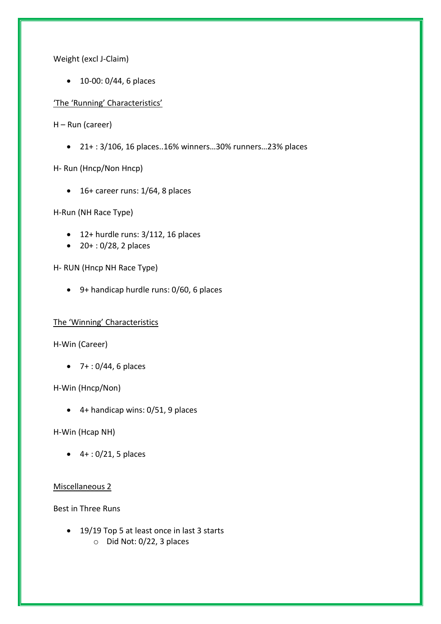Weight (excl J-Claim)

• 10-00: 0/44, 6 places

'The 'Running' Characteristics'

H – Run (career)

21+ : 3/106, 16 places..16% winners…30% runners…23% places

H- Run (Hncp/Non Hncp)

 $\bullet$  16+ career runs: 1/64, 8 places

H-Run (NH Race Type)

- $\bullet$  12+ hurdle runs: 3/112, 16 places
- $20 + 0.028$ , 2 places

H- RUN (Hncp NH Race Type)

9+ handicap hurdle runs: 0/60, 6 places

#### The 'Winning' Characteristics

H-Win (Career)

 $-7 + 0.044$ , 6 places

## H-Win (Hncp/Non)

4+ handicap wins: 0/51, 9 places

H-Win (Hcap NH)

 $\bullet$  4 + : 0/21, 5 places

#### Miscellaneous 2

Best in Three Runs

• 19/19 Top 5 at least once in last 3 starts o Did Not: 0/22, 3 places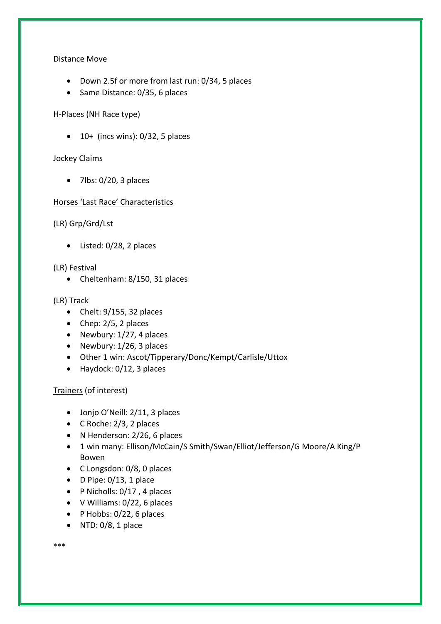## Distance Move

- Down 2.5f or more from last run: 0/34, 5 places
- Same Distance: 0/35, 6 places

# H-Places (NH Race type)

 $\bullet$  10+ (incs wins): 0/32, 5 places

# Jockey Claims

 $\bullet$  7lbs: 0/20, 3 places

# Horses 'Last Race' Characteristics

(LR) Grp/Grd/Lst

Listed: 0/28, 2 places

(LR) Festival

• Cheltenham: 8/150, 31 places

# (LR) Track

- $\bullet$  Chelt: 9/155, 32 places
- Chep:  $2/5$ , 2 places
- Newbury:  $1/27$ , 4 places
- Newbury:  $1/26$ , 3 places
- Other 1 win: Ascot/Tipperary/Donc/Kempt/Carlisle/Uttox
- Haydock: 0/12, 3 places

Trainers (of interest)

- Jonjo O'Neill: 2/11, 3 places
- C Roche: 2/3, 2 places
- N Henderson: 2/26, 6 places
- 1 win many: Ellison/McCain/S Smith/Swan/Elliot/Jefferson/G Moore/A King/P Bowen
- C Longsdon: 0/8, 0 places
- $\bullet$  D Pipe: 0/13, 1 place
- P Nicholls: 0/17, 4 places
- V Williams: 0/22, 6 places
- $\bullet$  P Hobbs: 0/22, 6 places
- $\bullet$  NTD: 0/8, 1 place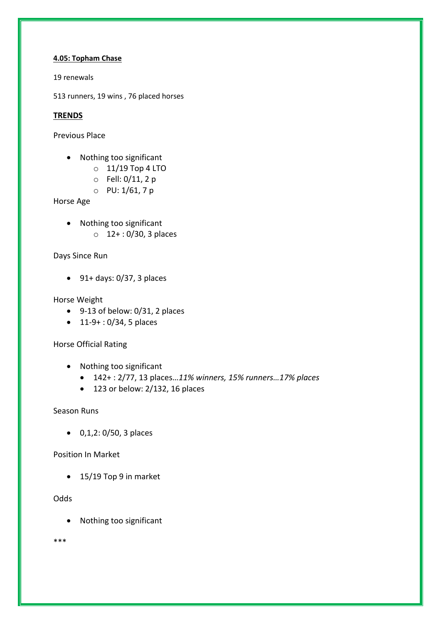#### **4.05: Topham Chase**

19 renewals

513 runners, 19 wins , 76 placed horses

# **TRENDS**

Previous Place

- Nothing too significant
	- o 11/19 Top 4 LTO
	- o Fell: 0/11, 2 p
	- o PU: 1/61, 7 p

Horse Age

- Nothing too significant
	- o 12+ : 0/30, 3 places

# Days Since Run

 $\bullet$  91+ days: 0/37, 3 places

# Horse Weight

- 9-13 of below: 0/31, 2 places
- $\bullet$  11-9+: 0/34, 5 places

# Horse Official Rating

- Nothing too significant
	- 142+ : 2/77, 13 places…*11% winners, 15% runners…17% places*
	- $\bullet$  123 or below: 2/132, 16 places

# Season Runs

0,1,2: 0/50, 3 places

# Position In Market

• 15/19 Top 9 in market

# **Odds**

Nothing too significant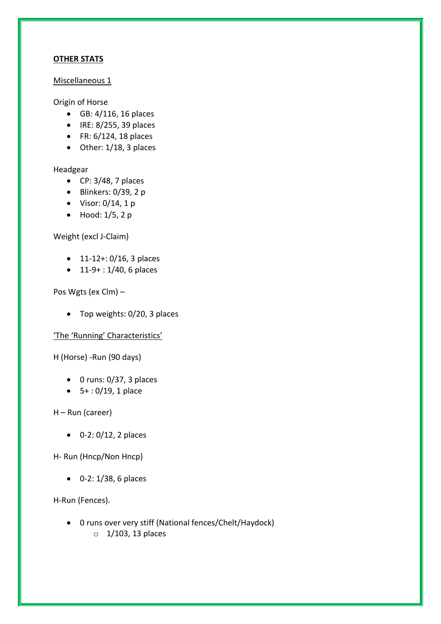# **OTHER STATS**

# Miscellaneous 1

# Origin of Horse

- GB: 4/116, 16 places
- $\bullet$  IRE: 8/255, 39 places
- $\bullet$  FR: 6/124, 18 places
- Other: 1/18, 3 places

## Headgear

- $\bullet$  CP: 3/48, 7 places
- $\bullet$  Blinkers: 0/39, 2 p
- $\bullet$  Visor: 0/14, 1 p
- $\bullet$  Hood: 1/5, 2 p

# Weight (excl J-Claim)

- $\bullet$  11-12+: 0/16, 3 places
- 11-9+: 1/40, 6 places

# Pos Wgts (ex Clm) –

• Top weights: 0/20, 3 places

# 'The 'Running' Characteristics'

H (Horse) -Run (90 days)

- $\bullet$  0 runs: 0/37, 3 places
- $\bullet$  5+: 0/19, 1 place

# H – Run (career)

 $0-2: 0/12, 2$  places

# H- Run (Hncp/Non Hncp)

0-2: 1/38, 6 places

# H-Run (Fences)*.*

 0 runs over very stiff (National fences/Chelt/Haydock)  $\circ$  1/103, 13 places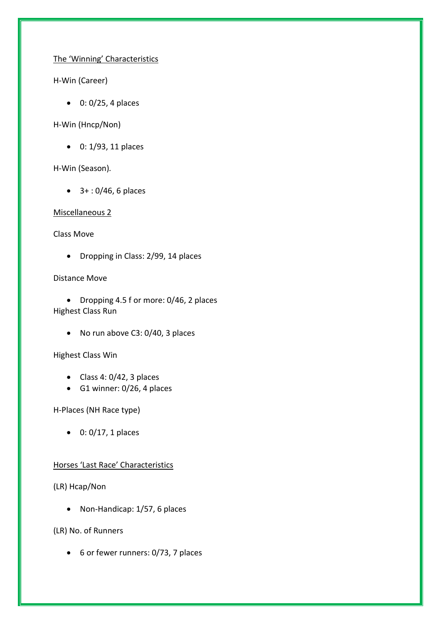# The 'Winning' Characteristics

H-Win (Career)

 $0: 0/25$ , 4 places

H-Win (Hncp/Non)

• 0: 1/93, 11 places

H-Win (Season)*.* 

 $\bullet$  3+: 0/46, 6 places

Miscellaneous 2

Class Move

• Dropping in Class: 2/99, 14 places

Distance Move

• Dropping 4.5 f or more: 0/46, 2 places Highest Class Run

• No run above C3: 0/40, 3 places

Highest Class Win

- $\bullet$  Class 4: 0/42, 3 places
- $\bullet$  G1 winner: 0/26, 4 places

H-Places (NH Race type)

 $\bullet$  0: 0/17, 1 places

# Horses 'Last Race' Characteristics

(LR) Hcap/Non

• Non-Handicap: 1/57, 6 places

(LR) No. of Runners

6 or fewer runners: 0/73, 7 places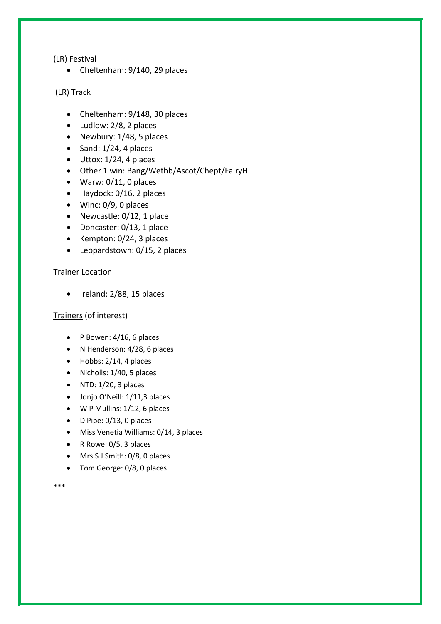(LR) Festival

• Cheltenham: 9/140, 29 places

(LR) Track

- Cheltenham: 9/148, 30 places
- Ludlow: 2/8, 2 places
- Newbury:  $1/48$ , 5 places
- $\bullet$  Sand: 1/24, 4 places
- $\bullet$  Uttox: 1/24, 4 places
- Other 1 win: Bang/Wethb/Ascot/Chept/FairyH
- Warw: 0/11, 0 places
- Haydock: 0/16, 2 places
- Winc: 0/9, 0 places
- Newcastle: 0/12, 1 place
- Doncaster: 0/13, 1 place
- $\bullet$  Kempton: 0/24, 3 places
- Leopardstown: 0/15, 2 places

## Trainer Location

 $\bullet$  Ireland: 2/88, 15 places

# Trainers (of interest)

- $\bullet$  P Bowen: 4/16, 6 places
- N Henderson: 4/28, 6 places
- $\bullet$  Hobbs: 2/14, 4 places
- $\bullet$  Nicholls: 1/40, 5 places
- $\bullet$  NTD: 1/20, 3 places
- Jonjo O'Neill: 1/11,3 places
- W P Mullins: 1/12, 6 places
- $\bullet$  D Pipe: 0/13, 0 places
- Miss Venetia Williams: 0/14, 3 places
- R Rowe: 0/5, 3 places
- Mrs S J Smith: 0/8, 0 places
- Tom George: 0/8, 0 places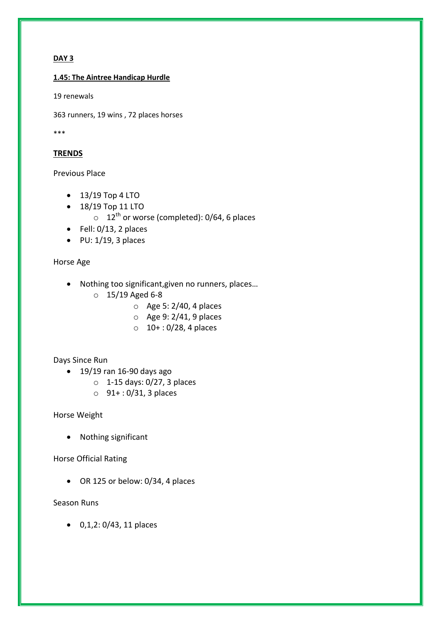# **DAY 3**

#### **1.45: The Aintree Handicap Hurdle**

19 renewals

363 runners, 19 wins , 72 places horses

\*\*\*

# **TRENDS**

### Previous Place

- $\bullet$  13/19 Top 4 LTO
- 18/19 Top 11 LTO  $\circ$  12<sup>th</sup> or worse (completed): 0/64, 6 places
- $\bullet$  Fell: 0/13, 2 places
- $\bullet$  PU: 1/19, 3 places

## Horse Age

- Nothing too significant,given no runners, places…
	- o 15/19 Aged 6-8
		- o Age 5: 2/40, 4 places
		- o Age 9: 2/41, 9 places
		- $0.10+ 0/28$ , 4 places

# Days Since Run

- $\bullet$  19/19 ran 16-90 days ago
	- o 1-15 days: 0/27, 3 places
	- o 91+ : 0/31, 3 places

Horse Weight

Nothing significant

# Horse Official Rating

OR 125 or below: 0/34, 4 places

# Season Runs

 $0, 1, 2: 0/43, 11$  places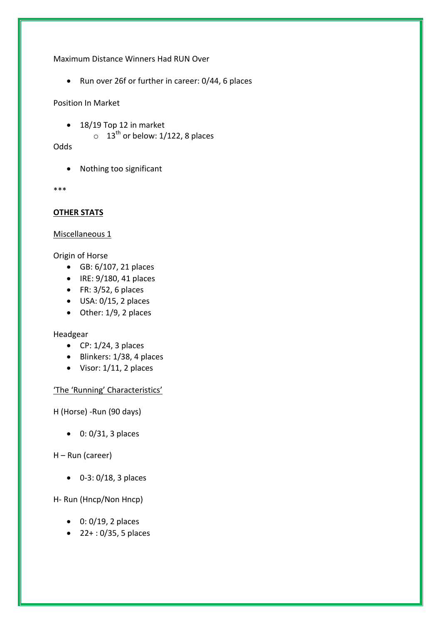Maximum Distance Winners Had RUN Over

• Run over 26f or further in career: 0/44, 6 places

Position In Market

- 18/19 Top 12 in market
	- $\circ$  13<sup>th</sup> or below: 1/122, 8 places

Odds

• Nothing too significant

\*\*\*

# **OTHER STATS**

## Miscellaneous 1

Origin of Horse

- GB: 6/107, 21 places
- $\bullet$  IRE: 9/180, 41 places
- $\bullet$  FR: 3/52, 6 places
- $\bullet$  USA: 0/15, 2 places
- Other: 1/9, 2 places

# Headgear

- $\bullet$  CP: 1/24, 3 places
- $\bullet$  Blinkers: 1/38, 4 places
- Visor: 1/11, 2 places

# 'The 'Running' Characteristics'

H (Horse) -Run (90 days)

 $\bullet$  0: 0/31, 3 places

# H – Run (career)

 $\bullet$  0-3: 0/18, 3 places

# H- Run (Hncp/Non Hncp)

- $0: 0/19$ , 2 places
- $\bullet$  22+: 0/35, 5 places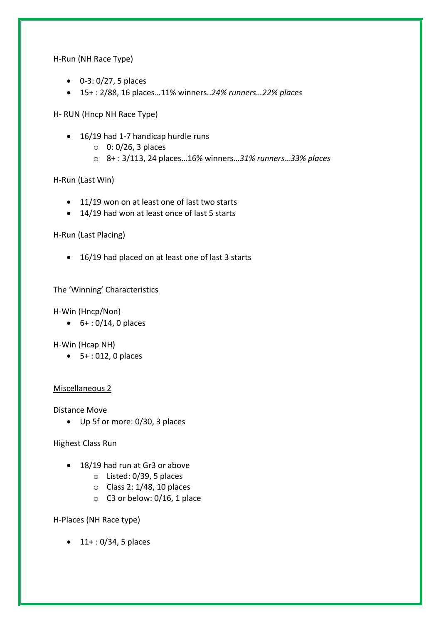H-Run (NH Race Type)

- $\bullet$  0-3: 0/27, 5 places
- 15+ : 2/88, 16 places…11% winners..*24% runners…22% places*

H- RUN (Hncp NH Race Type)

- 16/19 had 1-7 handicap hurdle runs
	- $\circ$  0: 0/26, 3 places
	- o 8+ : 3/113, 24 places…16% winners…*31% runners…33% places*

H-Run (Last Win)

- 11/19 won on at least one of last two starts
- 14/19 had won at least once of last 5 starts

H-Run (Last Placing)

• 16/19 had placed on at least one of last 3 starts

# The 'Winning' Characteristics

H-Win (Hncp/Non)

 $6+ 0/14$ , 0 places

H-Win (Hcap NH)

 $-5+ : 012, 0$  places

#### Miscellaneous 2

Distance Move

Up 5f or more: 0/30, 3 places

Highest Class Run

- 18/19 had run at Gr3 or above
	- o Listed: 0/39, 5 places
	- o Class 2: 1/48, 10 places
	- o C3 or below: 0/16, 1 place

H-Places (NH Race type)

 $\bullet$  11+: 0/34, 5 places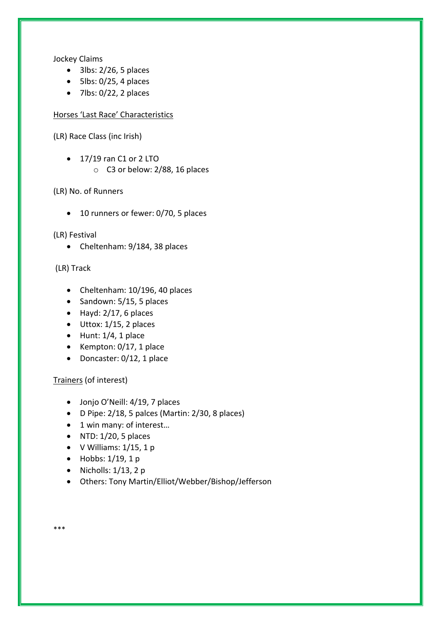Jockey Claims

- $\bullet$  3lbs: 2/26, 5 places
- $\bullet$  5lbs: 0/25, 4 places
- $\bullet$  7lbs: 0/22, 2 places

Horses 'Last Race' Characteristics

(LR) Race Class (inc Irish)

 $\bullet$  17/19 ran C1 or 2 LTO o C3 or below: 2/88, 16 places

# (LR) No. of Runners

• 10 runners or fewer: 0/70, 5 places

(LR) Festival

• Cheltenham: 9/184, 38 places

(LR) Track

- Cheltenham: 10/196, 40 places
- $\bullet$  Sandown: 5/15, 5 places
- $\bullet$  Hayd: 2/17, 6 places
- $\bullet$  Uttox: 1/15, 2 places
- $\bullet$  Hunt: 1/4, 1 place
- $\bullet$  Kempton: 0/17, 1 place
- Doncaster: 0/12, 1 place

Trainers (of interest)

- Jonjo O'Neill: 4/19, 7 places
- D Pipe: 2/18, 5 palces (Martin: 2/30, 8 places)
- 1 win many: of interest...
- $\bullet$  NTD: 1/20, 5 places
- $\bullet$  V Williams:  $1/15$ , 1 p
- $\bullet$  Hobbs: 1/19, 1 p

- Nicholls:  $1/13$ , 2 p
- Others: Tony Martin/Elliot/Webber/Bishop/Jefferson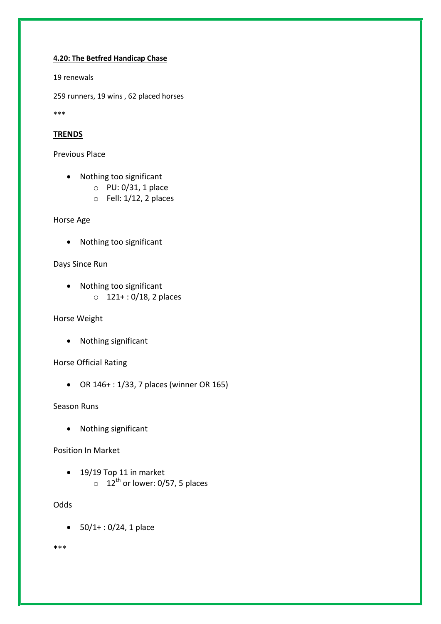#### **4.20: The Betfred Handicap Chase**

19 renewals

259 runners, 19 wins , 62 placed horses

\*\*\*

# **TRENDS**

Previous Place

- Nothing too significant
	- o PU: 0/31, 1 place
	- o Fell: 1/12, 2 places

Horse Age

• Nothing too significant

Days Since Run

• Nothing too significant  $0$  121+: 0/18, 2 places

Horse Weight

Nothing significant

Horse Official Rating

OR 146+ : 1/33, 7 places (winner OR 165)

Season Runs

• Nothing significant

Position In Market

• 19/19 Top 11 in market  $\circ$  12<sup>th</sup> or lower: 0/57, 5 places

**Odds** 

 $\bullet$  50/1+: 0/24, 1 place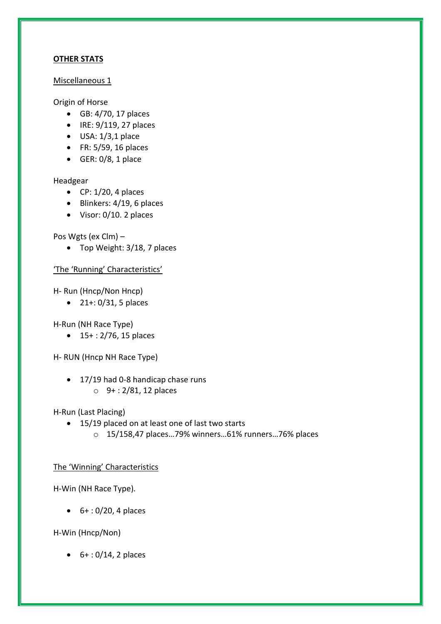# **OTHER STATS**

## Miscellaneous 1

# Origin of Horse

- GB: 4/70, 17 places
- $\bullet$  IRE: 9/119, 27 places
- $\bullet$  USA:  $1/3,1$  place
- FR: 5/59, 16 places
- $\bullet$  GER: 0/8, 1 place

## Headgear

- $\bullet$  CP: 1/20, 4 places
- $\bullet$  Blinkers: 4/19, 6 places
- Visor: 0/10. 2 places

Pos Wgts (ex Clm) –

• Top Weight: 3/18, 7 places

# 'The 'Running' Characteristics'

H- Run (Hncp/Non Hncp)

21+: 0/31, 5 places

H-Run (NH Race Type)

15+ : 2/76, 15 places

H- RUN (Hncp NH Race Type)

• 17/19 had 0-8 handicap chase runs o 9+ : 2/81, 12 places

H-Run (Last Placing)

- 15/19 placed on at least one of last two starts
	- o 15/158,47 places…79% winners…61% runners…76% places

# The 'Winning' Characteristics

H-Win (NH Race Type)*.* 

 $6+ : 0/20$ , 4 places

H-Win (Hncp/Non)

 $6+ : 0/14$ , 2 places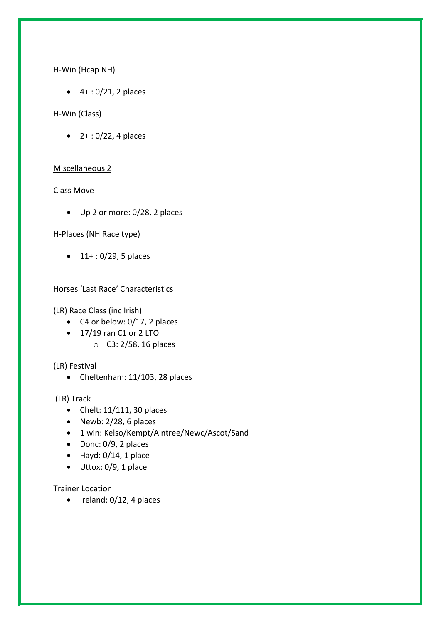H-Win (Hcap NH)

 $-4 + 0/21$ , 2 places

## H-Win (Class)

 $\bullet$  2+: 0/22, 4 places

## Miscellaneous 2

Class Move

Up 2 or more: 0/28, 2 places

H-Places (NH Race type)

 $\bullet$  11+: 0/29, 5 places

# Horses 'Last Race' Characteristics

(LR) Race Class (inc Irish)

- $\bullet$  C4 or below: 0/17, 2 places
- $\bullet$  17/19 ran C1 or 2 LTO
	- o C3: 2/58, 16 places

(LR) Festival

• Cheltenham: 11/103, 28 places

(LR) Track

- $\bullet$  Chelt: 11/111, 30 places
- $\bullet$  Newb: 2/28, 6 places
- 1 win: Kelso/Kempt/Aintree/Newc/Ascot/Sand
- $\bullet$  Donc: 0/9, 2 places
- $\bullet$  Hayd: 0/14, 1 place
- $\bullet$  Uttox: 0/9, 1 place

Trainer Location

 $\bullet$  Ireland: 0/12, 4 places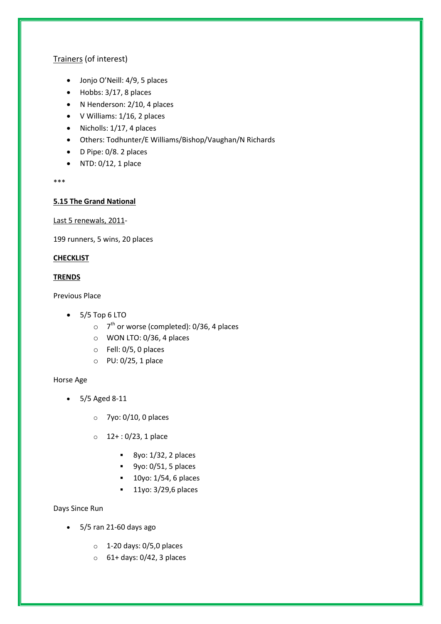# Trainers (of interest)

- Jonjo O'Neill: 4/9, 5 places
- Hobbs: 3/17, 8 places
- N Henderson: 2/10, 4 places
- V Williams: 1/16, 2 places
- $\bullet$  Nicholls: 1/17, 4 places
- Others: Todhunter/E Williams/Bishop/Vaughan/N Richards
- D Pipe: 0/8. 2 places
- $\bullet$  NTD: 0/12, 1 place

\*\*\*

## **5.15 The Grand National**

Last 5 renewals, 2011-

199 runners, 5 wins, 20 places

## **CHECKLIST**

## **TRENDS**

Previous Place

- $\bullet$  5/5 Top 6 LTO
	- $\circ$  7<sup>th</sup> or worse (completed): 0/36, 4 places
	- o WON LTO: 0/36, 4 places
	- o Fell: 0/5, 0 places
	- o PU: 0/25, 1 place

#### Horse Age

- 5/5 Aged 8-11
	- o 7yo: 0/10, 0 places
	- $0.12+ : 0/23, 1$  place
		- $8\gamma$ o: 1/32, 2 places
		- $9yo: 0/51$ , 5 places
		- $10y$ o: 1/54, 6 places
		- **11yo: 3/29,6 places**

## Days Since Run

- 5/5 ran 21-60 days ago
	- $\circ$  1-20 days: 0/5,0 places
	- $\circ$  61+ days: 0/42, 3 places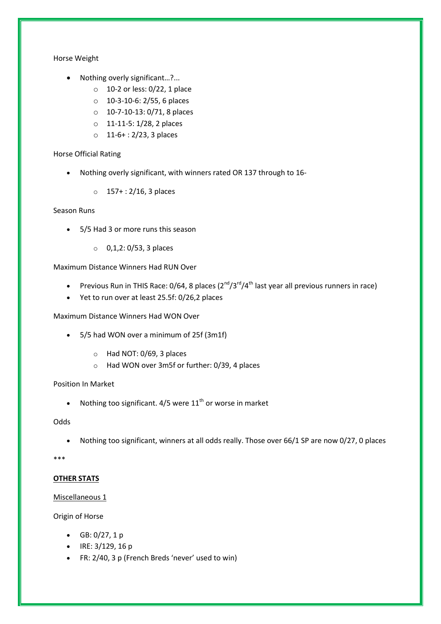Horse Weight

- Nothing overly significant...?...
	- o 10-2 or less: 0/22, 1 place
	- o 10-3-10-6: 2/55, 6 places
	- o 10-7-10-13: 0/71, 8 places
	- o 11-11-5: 1/28, 2 places
	- o 11-6+ : 2/23, 3 places

#### Horse Official Rating

- Nothing overly significant, with winners rated OR 137 through to 16-
	- $\circ$  157+: 2/16, 3 places

#### Season Runs

- 5/5 Had 3 or more runs this season
	- o 0,1,2: 0/53, 3 places

Maximum Distance Winners Had RUN Over

- Previous Run in THIS Race: 0/64, 8 places  $(2^{nd}/3^{rd}/4^{th})$  last year all previous runners in race)
- Yet to run over at least 25.5f: 0/26,2 places

Maximum Distance Winners Had WON Over

- 5/5 had WON over a minimum of 25f (3m1f)
	- o Had NOT: 0/69, 3 places
	- o Had WON over 3m5f or further: 0/39, 4 places

#### Position In Market

• Nothing too significant.  $4/5$  were  $11<sup>th</sup>$  or worse in market

#### Odds

Nothing too significant, winners at all odds really. Those over 66/1 SP are now 0/27, 0 places

#### \*\*\*

#### **OTHER STATS**

#### Miscellaneous 1

Origin of Horse

- $GB: 0/27, 1 p$
- $\bullet$  IRE: 3/129, 16 p
- FR: 2/40, 3 p (French Breds 'never' used to win)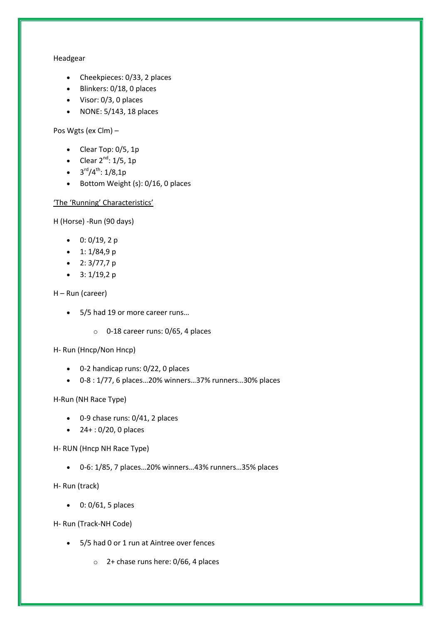#### Headgear

- Cheekpieces: 0/33, 2 places
- Blinkers: 0/18, 0 places
- Visor: 0/3, 0 places
- $\bullet$  NONE: 5/143, 18 places

Pos Wgts (ex Clm) –

- $\bullet$  Clear Top: 0/5, 1p
- Clear  $2^{nd}$ :  $1/5$ , 1p
- $3^{\text{rd}}/4^{\text{th}}$ : 1/8,1p
- Bottom Weight (s): 0/16, 0 places

#### 'The 'Running' Characteristics'

H (Horse) -Run (90 days)

- $\bullet$  0: 0/19, 2 p
- $\bullet$  1: 1/84,9 p
- $2: 3/77,7 p$
- $\bullet$  3: 1/19,2 p

H – Run (career)

- 5/5 had 19 or more career runs...
	- o 0-18 career runs: 0/65, 4 places

H- Run (Hncp/Non Hncp)

- 0-2 handicap runs: 0/22, 0 places
- 0-8 : 1/77, 6 places…20% winners…37% runners…30% places

#### H-Run (NH Race Type)

- 0-9 chase runs: 0/41, 2 places
- $\bullet$  24 + : 0/20, 0 places

H- RUN (Hncp NH Race Type)

0-6: 1/85, 7 places…20% winners…43% runners…35% places

H- Run (track)

 $0: 0/61$ , 5 places

H- Run (Track-NH Code)

- 5/5 had 0 or 1 run at Aintree over fences
	- $\circ$  2+ chase runs here: 0/66, 4 places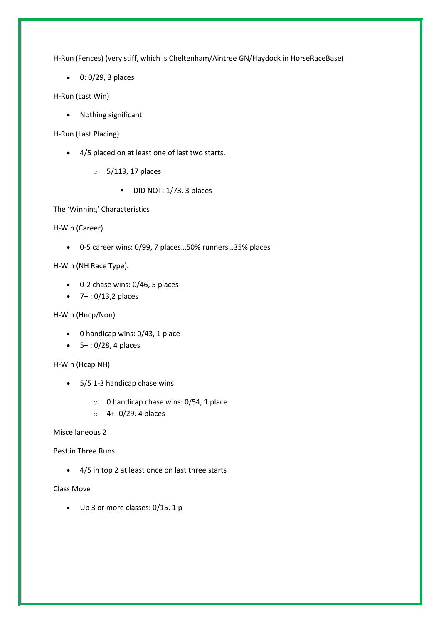H-Run (Fences) (very stiff, which is Cheltenham/Aintree GN/Haydock in HorseRaceBase)

 $0: 0/29$ , 3 places

H-Run (Last Win)

Nothing significant

H-Run (Last Placing)

- 4/5 placed on at least one of last two starts.
	- o 5/113, 17 places
		- DID NOT: 1/73, 3 places

#### The 'Winning' Characteristics

H-Win (Career)

0-5 career wins: 0/99, 7 places…50% runners…35% places

H-Win (NH Race Type)*.*

- 0-2 chase wins: 0/46, 5 places
- $-7$  + : 0/13,2 places

#### H-Win (Hncp/Non)

- 0 handicap wins: 0/43, 1 place
- $-5+ : 0/28, 4$  places

#### H-Win (Hcap NH)

- 5/5 1-3 handicap chase wins
	- o 0 handicap chase wins: 0/54, 1 place
	- o 4+: 0/29. 4 places

#### Miscellaneous 2

#### Best in Three Runs

4/5 in top 2 at least once on last three starts

#### Class Move

Up 3 or more classes: 0/15. 1 p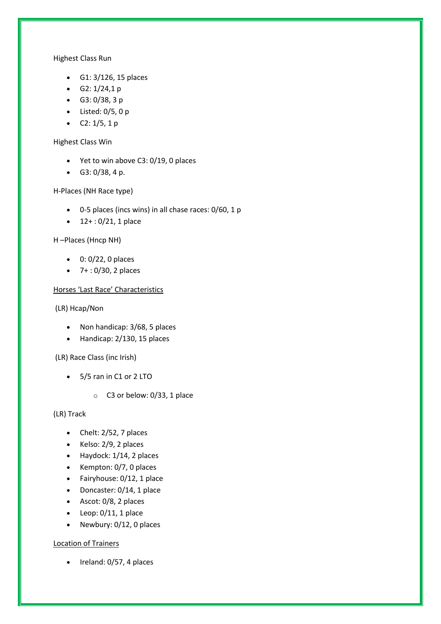#### Highest Class Run

- G1: 3/126, 15 places
- $\bullet$  G2: 1/24,1 p
- G3: 0/38, 3 p
- $\bullet$  Listed: 0/5, 0 p
- $C2: 1/5, 1 p$

#### Highest Class Win

- Yet to win above C3: 0/19, 0 places
- $G3: 0/38, 4 p.$

# H-Places (NH Race type)

- 0-5 places (incs wins) in all chase races: 0/60, 1 p
- $\bullet$  12+: 0/21, 1 place

## H –Places (Hncp NH)

- $0: 0/22$ , 0 places
- $-7 + 0/30$ , 2 places

## Horses 'Last Race' Characteristics

### (LR) Hcap/Non

- Non handicap: 3/68, 5 places
- Handicap: 2/130, 15 places

#### (LR) Race Class (inc Irish)

- 5/5 ran in C1 or 2 LTO
	- o C3 or below: 0/33, 1 place

#### (LR) Track

- $\bullet$  Chelt: 2/52, 7 places
- $\bullet$  Kelso: 2/9, 2 places
- Haydock: 1/14, 2 places
- $\bullet$  Kempton: 0/7, 0 places
- Fairyhouse: 0/12, 1 place
- Doncaster: 0/14, 1 place
- Ascot: 0/8, 2 places
- $\bullet$  Leop: 0/11, 1 place
- Newbury: 0/12, 0 places

# Location of Trainers

 $\bullet$  Ireland: 0/57, 4 places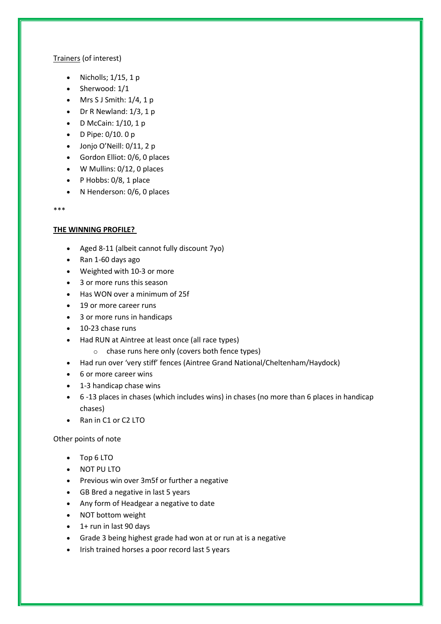## Trainers (of interest)

- $\bullet$  Nicholls;  $1/15$ , 1 p
- Sherwood: 1/1
- $\bullet$  Mrs S J Smith:  $1/4$ , 1 p
- $\bullet$  Dr R Newland:  $1/3$ , 1 p
- D McCain:  $1/10$ , 1 p
- $\bullet$  D Pipe: 0/10. 0 p
- Jonjo O'Neill: 0/11, 2 p
- Gordon Elliot: 0/6, 0 places
- W Mullins: 0/12, 0 places
- $\bullet$  P Hobbs: 0/8, 1 place
- N Henderson: 0/6, 0 places

\*\*\*

## **THE WINNING PROFILE?**

- Aged 8-11 (albeit cannot fully discount 7yo)
- Ran 1-60 days ago
- Weighted with 10-3 or more
- 3 or more runs this season
- Has WON over a minimum of 25f
- 19 or more career runs
- 3 or more runs in handicaps
- 10-23 chase runs
- Had RUN at Aintree at least once (all race types)
	- o chase runs here only (covers both fence types)
- Had run over 'very stiff' fences (Aintree Grand National/Cheltenham/Haydock)
- 6 or more career wins
- 1-3 handicap chase wins
- 6 -13 places in chases (which includes wins) in chases (no more than 6 places in handicap chases)
- Ran in C1 or C2 LTO

# Other points of note

- Top 6 LTO
- NOT PU LTO
- Previous win over 3m5f or further a negative
- GB Bred a negative in last 5 years
- Any form of Headgear a negative to date
- NOT bottom weight
- $\bullet$  1+ run in last 90 days
- Grade 3 being highest grade had won at or run at is a negative
- Irish trained horses a poor record last 5 years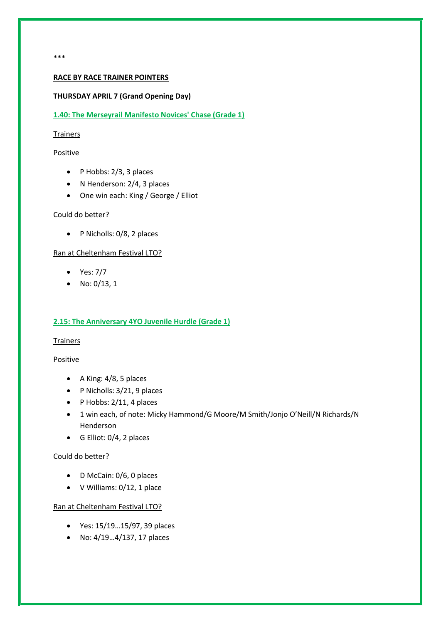\*\*\*

#### **RACE BY RACE TRAINER POINTERS**

#### **THURSDAY APRIL 7 (Grand Opening Day)**

#### **1.40: The Merseyrail Manifesto Novices' Chase (Grade 1)**

#### Trainers

Positive

- $\bullet$  P Hobbs: 2/3, 3 places
- N Henderson: 2/4, 3 places
- One win each: King / George / Elliot

#### Could do better?

• P Nicholls: 0/8, 2 places

#### Ran at Cheltenham Festival LTO?

- Yes: 7/7
- No:  $0/13, 1$

#### **2.15: The Anniversary 4YO Juvenile Hurdle (Grade 1)**

#### **Trainers**

#### Positive

- $\bullet$  A King: 4/8, 5 places
- P Nicholls: 3/21, 9 places
- $\bullet$  P Hobbs: 2/11, 4 places
- 1 win each, of note: Micky Hammond/G Moore/M Smith/Jonjo O'Neill/N Richards/N Henderson
- G Elliot: 0/4, 2 places

#### Could do better?

- D McCain: 0/6, 0 places
- V Williams: 0/12, 1 place

- Yes: 15/19…15/97, 39 places
- No: 4/19…4/137, 17 places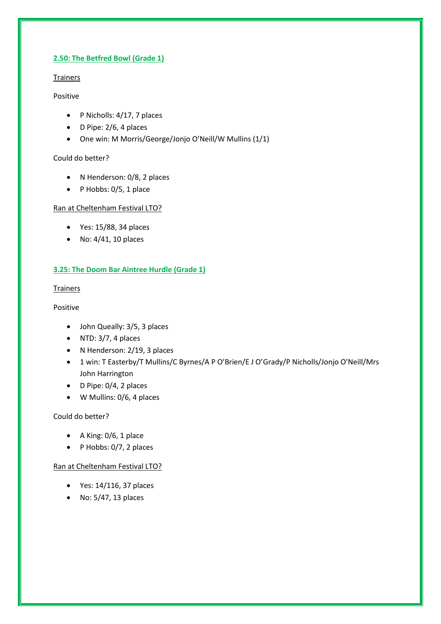## **2.50: The Betfred Bowl (Grade 1)**

# Trainers

## Positive

- P Nicholls: 4/17, 7 places
- $\bullet$  D Pipe: 2/6, 4 places
- One win: M Morris/George/Jonjo O'Neill/W Mullins (1/1)

## Could do better?

- N Henderson: 0/8, 2 places
- $\bullet$  P Hobbs: 0/5, 1 place

# Ran at Cheltenham Festival LTO?

- Yes: 15/88, 34 places
- $\bullet$  No: 4/41, 10 places

# **3.25: The Doom Bar Aintree Hurdle (Grade 1)**

## **Trainers**

# Positive

- John Queally: 3/5, 3 places
- $\bullet$  NTD: 3/7, 4 places
- N Henderson: 2/19, 3 places
- 1 win: T Easterby/T Mullins/C Byrnes/A P O'Brien/E J O'Grady/P Nicholls/Jonjo O'Neill/Mrs John Harrington
- D Pipe: 0/4, 2 places
- W Mullins: 0/6, 4 places

# Could do better?

- $\bullet$  A King: 0/6, 1 place
- $\bullet$  P Hobbs: 0/7, 2 places

- Yes: 14/116, 37 places
- No: 5/47, 13 places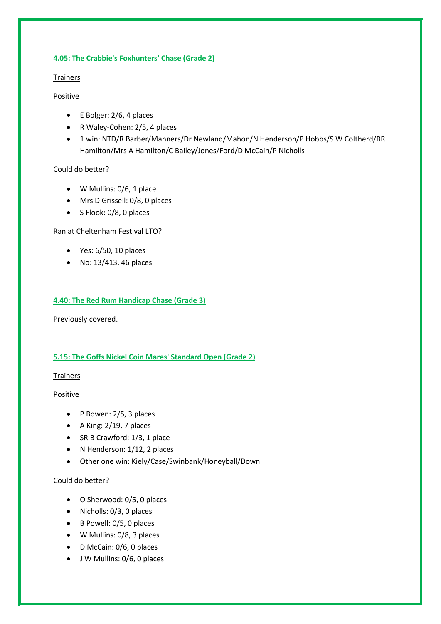### **4.05: The Crabbie's Foxhunters' Chase (Grade 2)**

# Trainers

# Positive

- $\bullet$  E Bolger: 2/6, 4 places
- R Waley-Cohen: 2/5, 4 places
- 1 win: NTD/R Barber/Manners/Dr Newland/Mahon/N Henderson/P Hobbs/S W Coltherd/BR Hamilton/Mrs A Hamilton/C Bailey/Jones/Ford/D McCain/P Nicholls

# Could do better?

- W Mullins: 0/6, 1 place
- Mrs D Grissell: 0/8, 0 places
- S Flook: 0/8, 0 places

# Ran at Cheltenham Festival LTO?

- $\bullet$  Yes: 6/50, 10 places
- No: 13/413, 46 places

# **4.40: The Red Rum Handicap Chase (Grade 3)**

Previously covered.

# **5.15: The Goffs Nickel Coin Mares' Standard Open (Grade 2)**

# Trainers

Positive

- P Bowen: 2/5, 3 places
- $\bullet$  A King: 2/19, 7 places
- SR B Crawford: 1/3, 1 place
- N Henderson: 1/12, 2 places
- Other one win: Kiely/Case/Swinbank/Honeyball/Down

# Could do better?

- O Sherwood: 0/5, 0 places
- Nicholls: 0/3, 0 places
- $\bullet$  B Powell: 0/5, 0 places
- W Mullins: 0/8, 3 places
- D McCain: 0/6, 0 places
- J W Mullins: 0/6, 0 places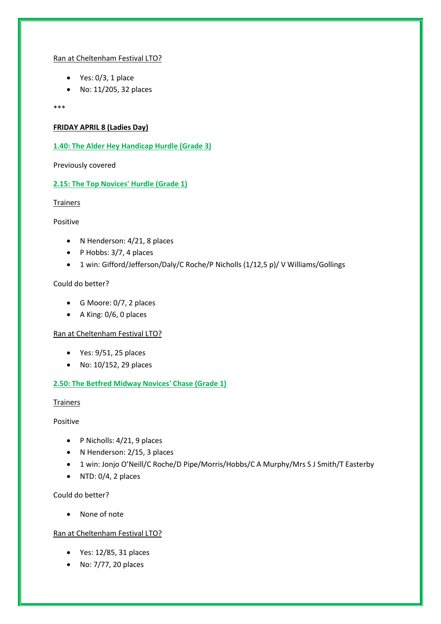#### Ran at Cheltenham Festival LTO?

- $\bullet$  Yes: 0/3, 1 place
- No: 11/205, 32 places

\*\*\*

#### **FRIDAY APRIL 8 (Ladies Day)**

**1.40: The Alder Hey Handicap Hurdle (Grade 3)**

Previously covered

### **2.15: The Top Novices' Hurdle (Grade 1)**

#### Trainers

#### Positive

- N Henderson: 4/21, 8 places
- $\bullet$  P Hobbs: 3/7, 4 places
- 1 win: Gifford/Jefferson/Daly/C Roche/P Nicholls (1/12,5 p)/ V Williams/Gollings

#### Could do better?

- G Moore: 0/7, 2 places
- A King: 0/6, 0 places

#### Ran at Cheltenham Festival LTO?

- $\bullet$  Yes: 9/51, 25 places
- No: 10/152, 29 places

#### **2.50: The Betfred Midway Novices' Chase (Grade 1)**

#### Trainers

Positive

- P Nicholls: 4/21, 9 places
- N Henderson: 2/15, 3 places
- 1 win: Jonjo O'Neill/C Roche/D Pipe/Morris/Hobbs/C A Murphy/Mrs S J Smith/T Easterby
- $\bullet$  NTD: 0/4, 2 places

Could do better?

• None of note

- Yes: 12/85, 31 places
- No: 7/77, 20 places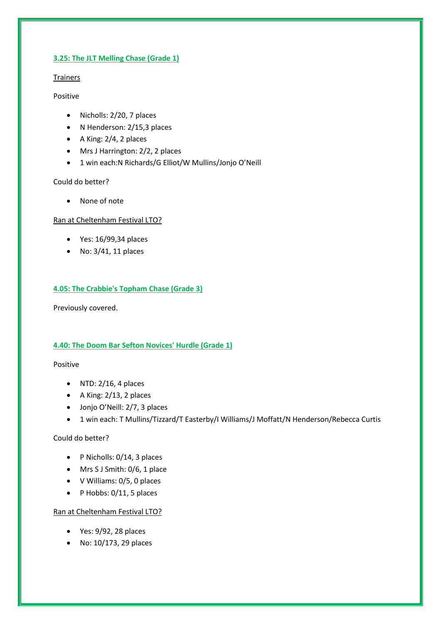### **3.25: The JLT Melling Chase (Grade 1)**

# Trainers

## Positive

- Nicholls: 2/20, 7 places
- N Henderson: 2/15,3 places
- $\bullet$  A King: 2/4, 2 places
- Mrs J Harrington: 2/2, 2 places
- 1 win each:N Richards/G Elliot/W Mullins/Jonjo O'Neill

## Could do better?

• None of note

Ran at Cheltenham Festival LTO?

- Yes: 16/99,34 places
- $\bullet$  No: 3/41, 11 places

# **4.05: The Crabbie's Topham Chase (Grade 3)**

Previously covered.

# **4.40: The Doom Bar Sefton Novices' Hurdle (Grade 1)**

#### Positive

- $\bullet$  NTD: 2/16, 4 places
- $\bullet$  A King: 2/13, 2 places
- Jonjo O'Neill: 2/7, 3 places
- 1 win each: T Mullins/Tizzard/T Easterby/I Williams/J Moffatt/N Henderson/Rebecca Curtis

# Could do better?

- P Nicholls: 0/14, 3 places
- Mrs S J Smith: 0/6, 1 place
- V Williams: 0/5, 0 places
- $\bullet$  P Hobbs: 0/11, 5 places

- Yes: 9/92, 28 places
- No: 10/173, 29 places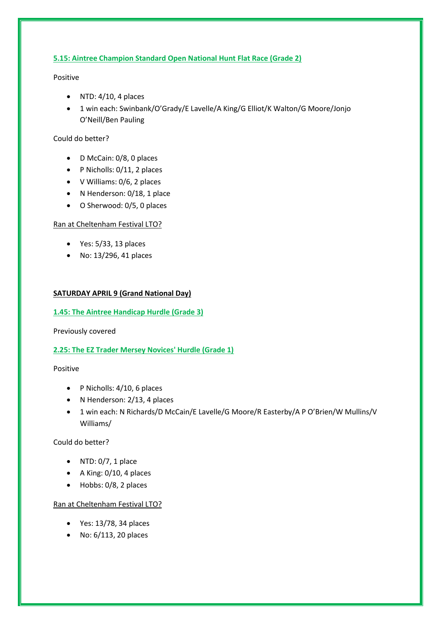## **5.15: Aintree Champion Standard Open National Hunt Flat Race (Grade 2)**

Positive

- $\bullet$  NTD: 4/10, 4 places
- 1 win each: Swinbank/O'Grady/E Lavelle/A King/G Elliot/K Walton/G Moore/Jonjo O'Neill/Ben Pauling

## Could do better?

- D McCain: 0/8, 0 places
- P Nicholls: 0/11, 2 places
- V Williams: 0/6, 2 places
- N Henderson: 0/18, 1 place
- O Sherwood: 0/5, 0 places

## Ran at Cheltenham Festival LTO?

- $\bullet$  Yes: 5/33, 13 places
- No: 13/296, 41 places

## **SATURDAY APRIL 9 (Grand National Day)**

### **1.45: The Aintree Handicap Hurdle (Grade 3)**

Previously covered

# **2.25: The EZ Trader Mersey Novices' Hurdle (Grade 1)**

Positive

- P Nicholls: 4/10, 6 places
- N Henderson: 2/13, 4 places
- 1 win each: N Richards/D McCain/E Lavelle/G Moore/R Easterby/A P O'Brien/W Mullins/V Williams/

Could do better?

- $\bullet$  NTD: 0/7, 1 place
- A King: 0/10, 4 places
- Hobbs: 0/8, 2 places

- Yes: 13/78, 34 places
- No: 6/113, 20 places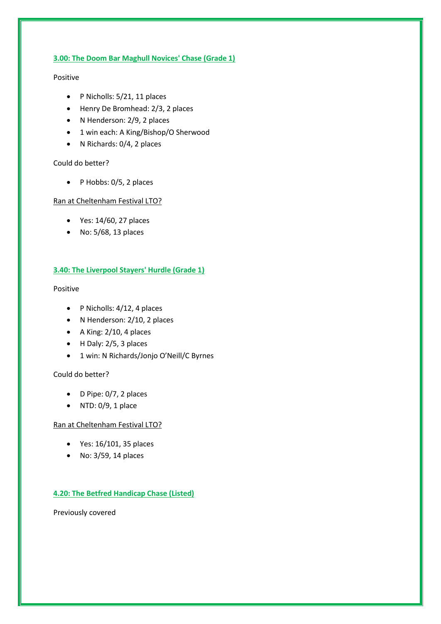### **3.00: The Doom Bar Maghull Novices' Chase (Grade 1)**

#### Positive

- P Nicholls: 5/21, 11 places
- Henry De Bromhead: 2/3, 2 places
- N Henderson: 2/9, 2 places
- 1 win each: A King/Bishop/O Sherwood
- N Richards: 0/4, 2 places

#### Could do better?

 $\bullet$  P Hobbs: 0/5, 2 places

#### Ran at Cheltenham Festival LTO?

- Yes: 14/60, 27 places
- No: 5/68, 13 places

## **3.40: The Liverpool Stayers' Hurdle (Grade 1)**

#### Positive

- P Nicholls: 4/12, 4 places
- N Henderson: 2/10, 2 places
- $\bullet$  A King: 2/10, 4 places
- $\bullet$  H Daly: 2/5, 3 places
- 1 win: N Richards/Jonjo O'Neill/C Byrnes

#### Could do better?

- $\bullet$  D Pipe: 0/7, 2 places
- $\bullet$  NTD: 0/9, 1 place

#### Ran at Cheltenham Festival LTO?

- Yes: 16/101, 35 places
- No: 3/59, 14 places

# **4.20: The Betfred Handicap Chase (Listed)**

Previously covered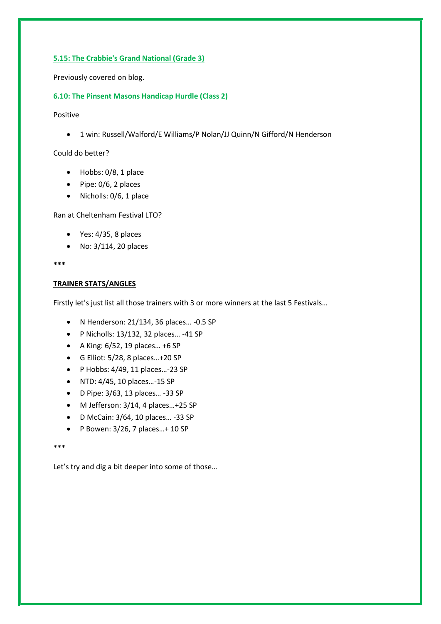#### **5.15: The Crabbie's Grand National (Grade 3)**

Previously covered on blog.

#### **6.10: The Pinsent Masons Handicap Hurdle (Class 2)**

Positive

1 win: Russell/Walford/E Williams/P Nolan/JJ Quinn/N Gifford/N Henderson

Could do better?

- Hobbs: 0/8, 1 place
- $\bullet$  Pipe: 0/6, 2 places
- Nicholls: 0/6, 1 place

#### Ran at Cheltenham Festival LTO?

- $\bullet$  Yes: 4/35, 8 places
- No: 3/114, 20 places

**\*\*\***

#### **TRAINER STATS/ANGLES**

Firstly let's just list all those trainers with 3 or more winners at the last 5 Festivals…

- N Henderson: 21/134, 36 places… -0.5 SP
- P Nicholls: 13/132, 32 places… -41 SP
- $\bullet$  A King: 6/52, 19 places... +6 SP
- G Elliot: 5/28, 8 places…+20 SP
- $\bullet$  P Hobbs: 4/49, 11 places...-23 SP
- NTD: 4/45, 10 places…-15 SP
- D Pipe: 3/63, 13 places… -33 SP
- M Jefferson: 3/14, 4 places…+25 SP
- D McCain: 3/64, 10 places… -33 SP
- $\bullet$  P Bowen: 3/26, 7 places... + 10 SP

\*\*\*

Let's try and dig a bit deeper into some of those…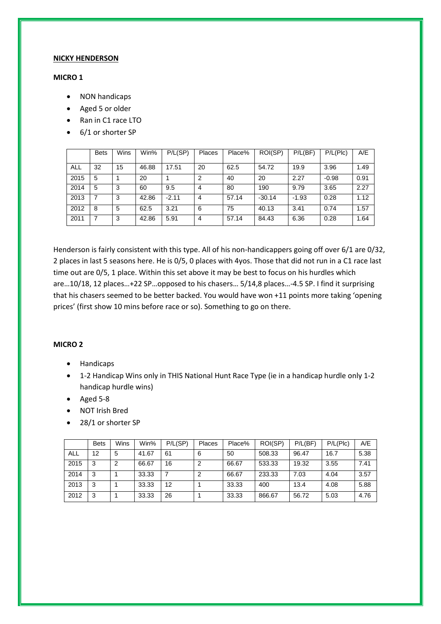#### **NICKY HENDERSON**

#### **MICRO 1**

- NON handicaps
- Aged 5 or older
- Ran in C1 race LTO
- 6/1 or shorter SP

|            | <b>Bets</b> | Wins | Win%  | P/L(SP) | Places         | Place% | ROI(SP)  | P/L(BF) | P/L(Plc) | A/E  |
|------------|-------------|------|-------|---------|----------------|--------|----------|---------|----------|------|
| <b>ALL</b> | 32          | 15   | 46.88 | 17.51   | 20             | 62.5   | 54.72    | 19.9    | 3.96     | 1.49 |
| 2015       | 5           |      | 20    |         | $\overline{2}$ | 40     | 20       | 2.27    | $-0.98$  | 0.91 |
| 2014       | 5           | 3    | 60    | 9.5     | 4              | 80     | 190      | 9.79    | 3.65     | 2.27 |
| 2013       |             | 3    | 42.86 | $-2.11$ | 4              | 57.14  | $-30.14$ | $-1.93$ | 0.28     | 1.12 |
| 2012       | 8           | 5    | 62.5  | 3.21    | 6              | 75     | 40.13    | 3.41    | 0.74     | 1.57 |
| 2011       |             | 3    | 42.86 | 5.91    | 4              | 57.14  | 84.43    | 6.36    | 0.28     | 1.64 |

Henderson is fairly consistent with this type. All of his non-handicappers going off over 6/1 are 0/32, 2 places in last 5 seasons here. He is 0/5, 0 places with 4yos. Those that did not run in a C1 race last time out are 0/5, 1 place. Within this set above it may be best to focus on his hurdles which are…10/18, 12 places…+22 SP…opposed to his chasers… 5/14,8 places…-4.5 SP. I find it surprising that his chasers seemed to be better backed. You would have won +11 points more taking 'opening prices' (first show 10 mins before race or so). Something to go on there.

## **MICRO 2**

- Handicaps
- 1-2 Handicap Wins only in THIS National Hunt Race Type (ie in a handicap hurdle only 1-2 handicap hurdle wins)
- Aged 5-8
- NOT Irish Bred
- 28/1 or shorter SP

|      | <b>Bets</b> | Wins | Win%  | P/L(SP) | Places | Place% | ROI(SP) | P/L(BF) | P/L(Plc) | A/E  |
|------|-------------|------|-------|---------|--------|--------|---------|---------|----------|------|
| ALL  | 12          | 5    | 41.67 | 61      | 6      | 50     | 508.33  | 96.47   | 16.7     | 5.38 |
| 2015 | 3           | 2    | 66.67 | 16      | 2      | 66.67  | 533.33  | 19.32   | 3.55     | 7.41 |
| 2014 | 3           |      | 33.33 | 7       | 2      | 66.67  | 233.33  | 7.03    | 4.04     | 3.57 |
| 2013 | 3           |      | 33.33 | 12      |        | 33.33  | 400     | 13.4    | 4.08     | 5.88 |
| 2012 | 3           |      | 33.33 | 26      |        | 33.33  | 866.67  | 56.72   | 5.03     | 4.76 |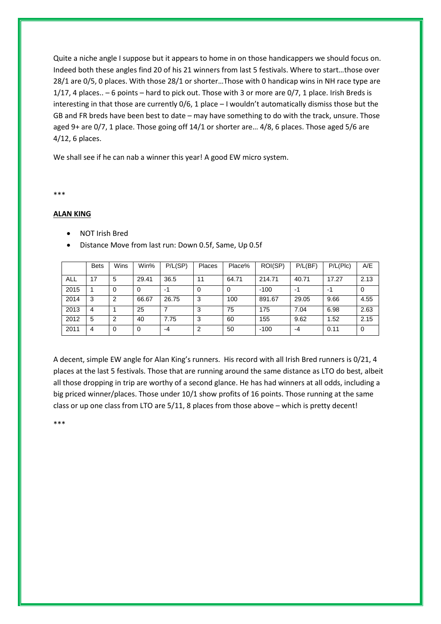Quite a niche angle I suppose but it appears to home in on those handicappers we should focus on. Indeed both these angles find 20 of his 21 winners from last 5 festivals. Where to start…those over 28/1 are 0/5, 0 places. With those 28/1 or shorter…Those with 0 handicap wins in NH race type are 1/17, 4 places.. – 6 points – hard to pick out. Those with 3 or more are 0/7, 1 place. Irish Breds is interesting in that those are currently 0/6, 1 place – I wouldn't automatically dismiss those but the GB and FR breds have been best to date – may have something to do with the track, unsure. Those aged 9+ are 0/7, 1 place. Those going off 14/1 or shorter are… 4/8, 6 places. Those aged 5/6 are 4/12, 6 places.

We shall see if he can nab a winner this year! A good EW micro system.

\*\*\*

#### **ALAN KING**

- NOT Irish Bred
- Distance Move from last run: Down 0.5f, Same, Up 0.5f

|      | <b>Bets</b> | <b>Wins</b> | Win%  | P/L(SP) | Places | Place% | ROI(SP) | P/L(BF) | P/L(Plc) | A/E  |
|------|-------------|-------------|-------|---------|--------|--------|---------|---------|----------|------|
| ALL  | 17          | 5           | 29.41 | 36.5    | 11     | 64.71  | 214.71  | 40.71   | 17.27    | 2.13 |
| 2015 |             | 0           | 0     | -1      | 0      | 0      | $-100$  | -1      | -1       |      |
| 2014 | 3           | 2           | 66.67 | 26.75   | 3      | 100    | 891.67  | 29.05   | 9.66     | 4.55 |
| 2013 | 4           |             | 25    | 7       | 3      | 75     | 175     | 7.04    | 6.98     | 2.63 |
| 2012 | 5           | 2           | 40    | 7.75    | 3      | 60     | 155     | 9.62    | 1.52     | 2.15 |
| 2011 | 4           | 0           | 0     | -4      | 2      | 50     | $-100$  | -4      | 0.11     |      |

A decent, simple EW angle for Alan King's runners. His record with all Irish Bred runners is 0/21, 4 places at the last 5 festivals. Those that are running around the same distance as LTO do best, albeit all those dropping in trip are worthy of a second glance. He has had winners at all odds, including a big priced winner/places. Those under 10/1 show profits of 16 points. Those running at the same class or up one class from LTO are 5/11, 8 places from those above – which is pretty decent!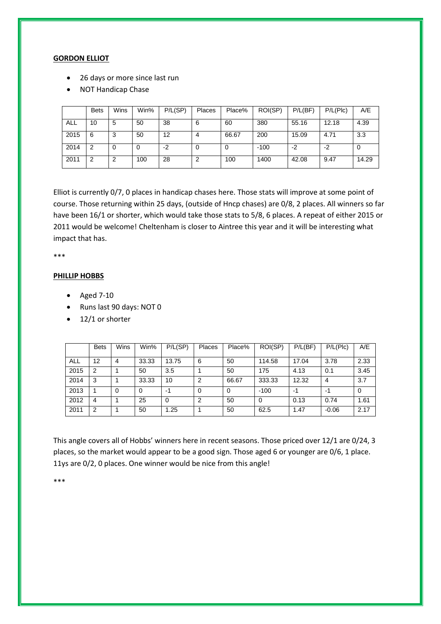#### **GORDON ELLIOT**

- 26 days or more since last run
- NOT Handicap Chase

|            | <b>Bets</b> | Wins | Win% | P/L(SP) | Places | Place% | ROI(SP) | P/L(BF) | P/L(Plc) | A/E   |
|------------|-------------|------|------|---------|--------|--------|---------|---------|----------|-------|
| <b>ALL</b> | 10          | 5    | 50   | 38      | 6      | 60     | 380     | 55.16   | 12.18    | 4.39  |
| 2015       | 6           | 3    | 50   | 12      | 4      | 66.67  | 200     | 15.09   | 4.71     | 3.3   |
| 2014       | 2           | 0    | 0    | -2      | 0      |        | $-100$  | -2      | -2       | 0     |
| 2011       | 2           | 2    | 100  | 28      | 2      | 100    | 1400    | 42.08   | 9.47     | 14.29 |

Elliot is currently 0/7, 0 places in handicap chases here. Those stats will improve at some point of course. Those returning within 25 days, (outside of Hncp chases) are 0/8, 2 places. All winners so far have been 16/1 or shorter, which would take those stats to 5/8, 6 places. A repeat of either 2015 or 2011 would be welcome! Cheltenham is closer to Aintree this year and it will be interesting what impact that has.

\*\*\*

#### **PHILLIP HOBBS**

- $\bullet$  Aged 7-10
- Runs last 90 days: NOT 0
- $\bullet$  12/1 or shorter

|            | <b>Bets</b> | Wins     | Win%  | P/L(SP)  | Places   | Place% | ROI(SP) | P/L(BF) | P/L(Plc) | A/E  |
|------------|-------------|----------|-------|----------|----------|--------|---------|---------|----------|------|
| <b>ALL</b> | 12          | 4        | 33.33 | 13.75    | 6        | 50     | 114.58  | 17.04   | 3.78     | 2.33 |
| 2015       | 2           |          | 50    | 3.5      |          | 50     | 175     | 4.13    | 0.1      | 3.45 |
| 2014       | 3           |          | 33.33 | 10       | 2        | 66.67  | 333.33  | 12.32   | 4        | 3.7  |
| 2013       |             | $\Omega$ | 0     | -1       | $\Omega$ | 0      | $-100$  | -1      | -1       |      |
| 2012       | 4           |          | 25    | $\Omega$ | 2        | 50     | 0       | 0.13    | 0.74     | 1.61 |
| 2011       | 2           |          | 50    | 1.25     |          | 50     | 62.5    | 1.47    | $-0.06$  | 2.17 |

This angle covers all of Hobbs' winners here in recent seasons. Those priced over 12/1 are 0/24, 3 places, so the market would appear to be a good sign. Those aged 6 or younger are 0/6, 1 place. 11ys are 0/2, 0 places. One winner would be nice from this angle!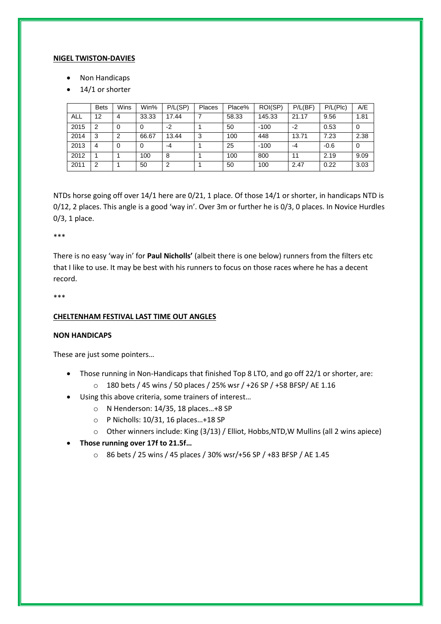#### **NIGEL TWISTON-DAVIES**

- Non Handicaps
- 14/1 or shorter

|            | <b>Bets</b> | Wins | Win%     | P/L(SP) | Places | Place% | ROI(SP) | P/L(BF) | P/L(Plc) | A/E  |
|------------|-------------|------|----------|---------|--------|--------|---------|---------|----------|------|
| <b>ALL</b> | 12          | 4    | 33.33    | 17.44   |        | 58.33  | 145.33  | 21.17   | 9.56     | 1.81 |
| 2015       | 2           | 0    | 0        | $-2$    |        | 50     | $-100$  | $-2$    | 0.53     | 0    |
| 2014       | 3           | 2    | 66.67    | 13.44   | 3      | 100    | 448     | 13.71   | 7.23     | 2.38 |
| 2013       | 4           | 0    | $\Omega$ | -4      |        | 25     | $-100$  | -4      | $-0.6$   | 0    |
| 2012       |             |      | 100      | 8       |        | 100    | 800     | 11      | 2.19     | 9.09 |
| 2011       | 2           |      | 50       | 2       |        | 50     | 100     | 2.47    | 0.22     | 3.03 |

NTDs horse going off over 14/1 here are 0/21, 1 place. Of those 14/1 or shorter, in handicaps NTD is 0/12, 2 places. This angle is a good 'way in'. Over 3m or further he is 0/3, 0 places. In Novice Hurdles 0/3, 1 place.

\*\*\*

There is no easy 'way in' for **Paul Nicholls'** (albeit there is one below) runners from the filters etc that I like to use. It may be best with his runners to focus on those races where he has a decent record.

\*\*\*

#### **CHELTENHAM FESTIVAL LAST TIME OUT ANGLES**

#### **NON HANDICAPS**

These are just some pointers…

- Those running in Non-Handicaps that finished Top 8 LTO, and go off 22/1 or shorter, are:
	- o 180 bets / 45 wins / 50 places / 25% wsr / +26 SP / +58 BFSP/ AE 1.16
- Using this above criteria, some trainers of interest…
	- o N Henderson: 14/35, 18 places…+8 SP
	- o P Nicholls: 10/31, 16 places…+18 SP
	- o Other winners include: King (3/13) / Elliot, Hobbs,NTD,W Mullins (all 2 wins apiece)
- **Those running over 17f to 21.5f…**
	- o 86 bets / 25 wins / 45 places / 30% wsr/+56 SP / +83 BFSP / AE 1.45